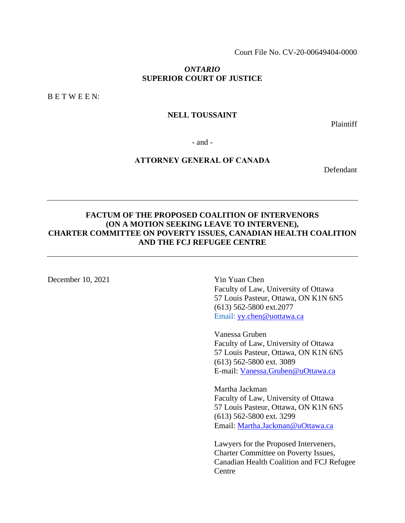Court File No. CV-20-00649404-0000

### *ONTARIO*  **SUPERIOR COURT OF JUSTICE**

B E T W E E N:

### **NELL TOUSSAINT**

Plaintiff

- and -

# **ATTORNEY GENERAL OF CANADA**

Defendant

# **FACTUM OF THE PROPOSED COALITION OF INTERVENORS (ON A MOTION SEEKING LEAVE TO INTERVENE), CHARTER COMMITTEE ON POVERTY ISSUES, CANADIAN HEALTH COALITION AND THE FCJ REFUGEE CENTRE**

December 10, 2021 Yin Yuan Chen

Faculty of Law, University of Ottawa 57 Louis Pasteur, Ottawa, ON K1N 6N5 (613) 562-5800 ext.2077 Email: [yy.chen@uottawa.ca](mailto:yy.chen@uottawa.ca)

Vanessa Gruben Faculty of Law, University of Ottawa 57 Louis Pasteur, Ottawa, ON K1N 6N5 (613) 562-5800 ext. 3089 E-mail: [Vanessa.Gruben@uOttawa.ca](mailto:Vanessa.Gruben@uOttawa.ca)

Martha Jackman Faculty of Law, University of Ottawa 57 Louis Pasteur, Ottawa, ON K1N 6N5 (613) 562-5800 ext. 3299 Email: [Martha.Jackman@uOttawa.ca](mailto:Martha.Jackman@uOttawa.ca)

Lawyers for the Proposed Interveners, Charter Committee on Poverty Issues, Canadian Health Coalition and FCJ Refugee **Centre**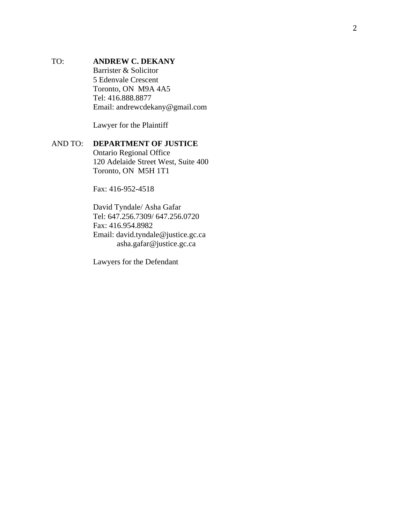# TO: **ANDREW C. DEKANY** Barrister & Solicitor 5 Edenvale Crescent Toronto, ON M9A 4A5 Tel: 416.888.8877 Email: andrewcdekany@gmail.com

Lawyer for the Plaintiff

# AND TO: **DEPARTMENT OF JUSTICE**

Ontario Regional Office 120 Adelaide Street West, Suite 400 Toronto, ON M5H 1T1

Fax: 416-952-4518

David Tyndale/ Asha Gafar Tel: 647.256.7309/ 647.256.0720 Fax: 416.954.8982 Email: david.tyndale@justice.gc.ca asha.gafar@justice.gc.ca

Lawyers for the Defendant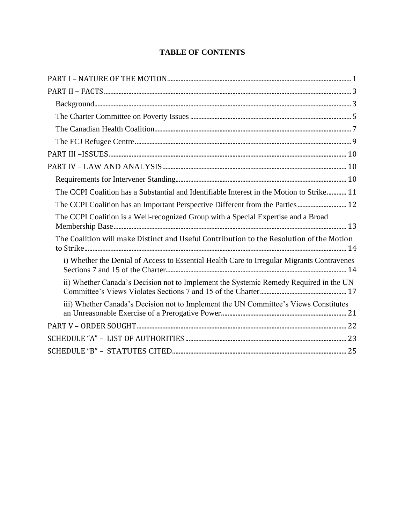# **TABLE OF CONTENTS**

| The CCPI Coalition has a Substantial and Identifiable Interest in the Motion to Strike 11  |
|--------------------------------------------------------------------------------------------|
| The CCPI Coalition has an Important Perspective Different from the Parties  12             |
| The CCPI Coalition is a Well-recognized Group with a Special Expertise and a Broad         |
| The Coalition will make Distinct and Useful Contribution to the Resolution of the Motion   |
| i) Whether the Denial of Access to Essential Health Care to Irregular Migrants Contravenes |
| ii) Whether Canada's Decision not to Implement the Systemic Remedy Required in the UN      |
| iii) Whether Canada's Decision not to Implement the UN Committee's Views Constitutes       |
|                                                                                            |
|                                                                                            |
|                                                                                            |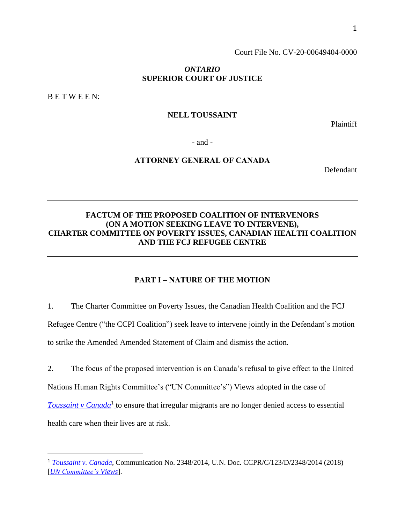Court File No. CV-20-00649404-0000

#### *ONTARIO*  **SUPERIOR COURT OF JUSTICE**

B E T W E E N:

### **NELL TOUSSAINT**

Plaintiff

- and -

# **ATTORNEY GENERAL OF CANADA**

Defendant

# **FACTUM OF THE PROPOSED COALITION OF INTERVENORS (ON A MOTION SEEKING LEAVE TO INTERVENE), CHARTER COMMITTEE ON POVERTY ISSUES, CANADIAN HEALTH COALITION AND THE FCJ REFUGEE CENTRE**

## **PART I – NATURE OF THE MOTION**

<span id="page-3-0"></span>1. The Charter Committee on Poverty Issues, the Canadian Health Coalition and the FCJ Refugee Centre ("the CCPI Coalition") seek leave to intervene jointly in the Defendant's motion to strike the Amended Amended Statement of Claim and dismiss the action.

2. The focus of the proposed intervention is on Canada's refusal to give effect to the United Nations Human Rights Committee's ("UN Committee's") Views adopted in the case of **[Toussaint v Canada](https://docstore.ohchr.org/SelfServices/FilesHandler.ashx?enc=6QkG1d%2fPPRiCAqhKb7yhstcNDCvDan1pXU7dsZDBaDUTGwvepRQQ4nwed0EKFgVQ1PMnrThSRVGq36Wd%2fdgnclNKEZT2ee5xTjoyNmiapxrxB8hNy3xID1qlQfO4XMfbSns9SrVKk2dshmsxA2QWVF9ozlsMPG5LTvkfhPliKEA%3d)<sup>1</sup>** to ensure that irregular migrants are no longer denied access to essential health care when their lives are at risk.

<sup>1</sup> *[Toussaint v.](https://docstore.ohchr.org/SelfServices/FilesHandler.ashx?enc=6QkG1d%2fPPRiCAqhKb7yhstcNDCvDan1pXU7dsZDBaDUTGwvepRQQ4nwed0EKFgVQ1PMnrThSRVGq36Wd%2fdgnclNKEZT2ee5xTjoyNmiapxrxB8hNy3xID1qlQfO4XMfbSns9SrVKk2dshmsxA2QWVF9ozlsMPG5LTvkfhPliKEA%3d) Canada*, Communication No. 2348/2014, U.N. Doc. CCPR/C/123/D/2348/2014 (2018) [*[UN Committee's](https://docstore.ohchr.org/SelfServices/FilesHandler.ashx?enc=6QkG1d%2fPPRiCAqhKb7yhstcNDCvDan1pXU7dsZDBaDUTGwvepRQQ4nwed0EKFgVQ1PMnrThSRVGq36Wd%2fdgnclNKEZT2ee5xTjoyNmiapxrxB8hNy3xID1qlQfO4XMfbSns9SrVKk2dshmsxA2QWVF9ozlsMPG5LTvkfhPliKEA%3d) Views*].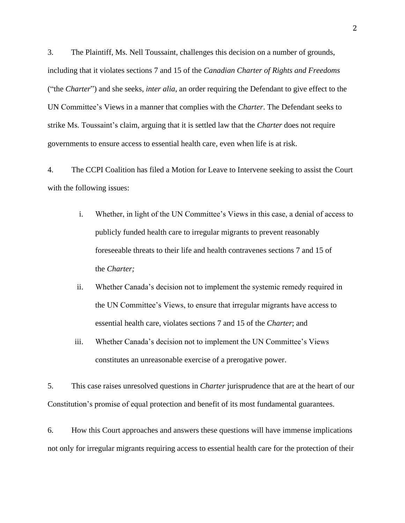3. The Plaintiff, Ms. Nell Toussaint, challenges this decision on a number of grounds, including that it violates sections 7 and 15 of the *Canadian Charter of Rights and Freedoms* ("the *Charter*") and she seeks, *inter alia*, an order requiring the Defendant to give effect to the UN Committee's Views in a manner that complies with the *Charter*. The Defendant seeks to strike Ms. Toussaint's claim, arguing that it is settled law that the *Charter* does not require governments to ensure access to essential health care, even when life is at risk.

4. The CCPI Coalition has filed a Motion for Leave to Intervene seeking to assist the Court with the following issues:

- i. Whether, in light of the UN Committee's Views in this case, a denial of access to publicly funded health care to irregular migrants to prevent reasonably foreseeable threats to their life and health contravenes sections 7 and 15 of the *Charter;*
- ii. Whether Canada's decision not to implement the systemic remedy required in the UN Committee's Views, to ensure that irregular migrants have access to essential health care, violates sections 7 and 15 of the *Charter*; and
- iii. Whether Canada's decision not to implement the UN Committee's Views constitutes an unreasonable exercise of a prerogative power.

5. This case raises unresolved questions in *Charter* jurisprudence that are at the heart of our Constitution's promise of equal protection and benefit of its most fundamental guarantees.

6. How this Court approaches and answers these questions will have immense implications not only for irregular migrants requiring access to essential health care for the protection of their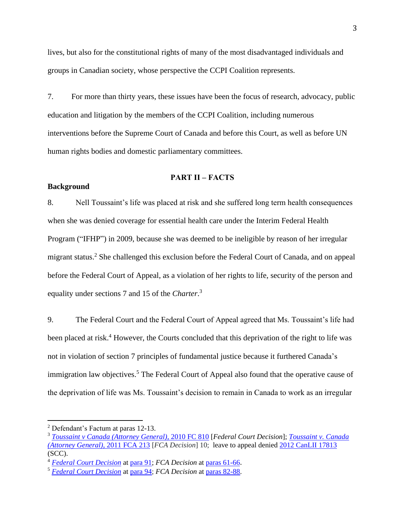lives, but also for the constitutional rights of many of the most disadvantaged individuals and groups in Canadian society, whose perspective the CCPI Coalition represents.

7. For more than thirty years, these issues have been the focus of research, advocacy, public education and litigation by the members of the CCPI Coalition, including numerous interventions before the Supreme Court of Canada and before this Court, as well as before UN human rights bodies and domestic parliamentary committees.

#### **PART II – FACTS**

#### <span id="page-5-1"></span><span id="page-5-0"></span>**Background**

8. Nell Toussaint's life was placed at risk and she suffered long term health consequences when she was denied coverage for essential health care under the Interim Federal Health Program ("IFHP") in 2009, because she was deemed to be ineligible by reason of her irregular migrant status.<sup>2</sup> She challenged this exclusion before the Federal Court of Canada, and on appeal before the Federal Court of Appeal, as a violation of her rights to life, security of the person and equality under sections 7 and 15 of the *Charter*. 3

9. The Federal Court and the Federal Court of Appeal agreed that Ms. Toussaint's life had been placed at risk.<sup>4</sup> However, the Courts concluded that this deprivation of the right to life was not in violation of section 7 principles of fundamental justice because it furthered Canada's immigration law objectives.<sup>5</sup> The Federal Court of Appeal also found that the operative cause of the deprivation of life was Ms. Toussaint's decision to remain in Canada to work as an irregular

<sup>2</sup> Defendant's Factum at paras 12-13.

<sup>3</sup> *[Toussaint v Canada \(Attorney General\),](http://canlii.ca/t/2c43m)* 2010 FC 810 [*Federal Court Decision*]; *[Toussaint v. Canada](https://www.canlii.org/en/ca/fca/doc/2011/2011fca213/2011fca213.html?autocompleteStr=Toussaint%20v&autocompletePos=1)  [\(Attorney General\)](https://www.canlii.org/en/ca/fca/doc/2011/2011fca213/2011fca213.html?autocompleteStr=Toussaint%20v&autocompletePos=1)*, 2011 FCA 213 [*FCA Decision*] 10; leave to appeal denied [2012 CanLII 17813](https://canlii.ca/t/fqwb8) (SCC).

<sup>4</sup> *[Federal Court Decision](http://canlii.ca/t/2c43m)* at [para 91;](https://www.canlii.org/en/ca/fct/doc/2010/2010fc810/2010fc810.html#:~:text=Delay%20in%20medical,from%20the%20IFHP.) *FCA Decision* at paras [61-66](https://www.canlii.org/en/ca/fca/doc/2011/2011fca213/2011fca213.html?autocompleteStr=toussaint%20v%20canada&autocompletePos=1#:~:text=61%5D%C2%A0%C2%A0%20%C2%A0%C2%A0%20%C2%A0%C2%A0%20%C2%A0%20Bearing%20in,serious%20health%20risks.).

<sup>5</sup> *[Federal Court Decision](http://canlii.ca/t/2c43m)* at [para 94;](https://www.canlii.org/en/ca/fct/doc/2010/2010fc810/2010fc810.html#:~:text=%5B94%5D%C2%A0%C2%A0%20%C2%A0%C2%A0%20%C2%A0%C2%A0%20%C2%A0%20I%20do,such%20a%20situation.) *FCA Decision* at paras [82-88.](https://www.canlii.org/en/ca/fca/doc/2011/2011fca213/2011fca213.html?autocompleteStr=Toussaint%20v&autocompletePos=1#:~:text=%5B82%5D%C2%A0%C2%A0%20%C2%A0%C2%A0%20%C2%A0%C2%A0%20%C2%A0%20However%2C%20the,are%20not%20infringed.)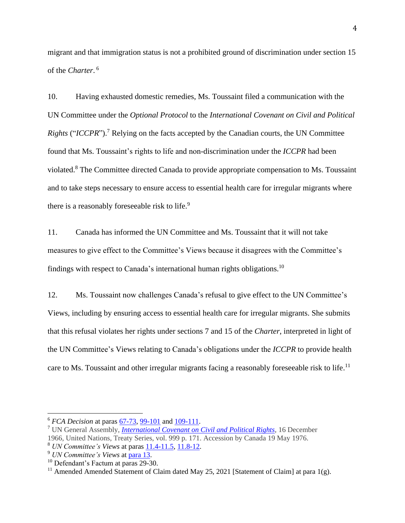migrant and that immigration status is not a prohibited ground of discrimination under section 15 of the *Charter*. 6

10. Having exhausted domestic remedies, Ms. Toussaint filed a communication with the UN Committee under the *Optional Protocol* to the *International Covenant on Civil and Political Rights* ("*ICCPR*").<sup>7</sup> Relying on the facts accepted by the Canadian courts, the UN Committee found that Ms. Toussaint's rights to life and non-discrimination under the *ICCPR* had been violated.<sup>8</sup> The Committee directed Canada to provide appropriate compensation to Ms. Toussaint and to take steps necessary to ensure access to essential health care for irregular migrants where there is a reasonably foreseeable risk to life.<sup>9</sup>

11. Canada has informed the UN Committee and Ms. Toussaint that it will not take measures to give effect to the Committee's Views because it disagrees with the Committee's findings with respect to Canada's international human rights obligations.<sup>10</sup>

12. Ms. Toussaint now challenges Canada's refusal to give effect to the UN Committee's Views, including by ensuring access to essential health care for irregular migrants. She submits that this refusal violates her rights under sections 7 and 15 of the *Charter*, interpreted in light of the UN Committee's Views relating to Canada's obligations under the *ICCPR* to provide health care to Ms. Toussaint and other irregular migrants facing a reasonably foreseeable risk to life.<sup>11</sup>

<sup>6</sup> *FCA Decision* at paras [67-73,](https://www.canlii.org/en/ca/fca/doc/2011/2011fca213/2011fca213.html?autocompleteStr=Toussaint%20v&autocompletePos=1#:~:text=%5B67%5D%C2%A0%C2%A0%20%C2%A0%C2%A0%20%C2%A0%C2%A0%20%C2%A0%20As%20mentioned%20above,7%20of%20the%20Charter.) [99-101](https://www.canlii.org/en/ca/fca/doc/2011/2011fca213/2011fca213.html?autocompleteStr=Toussaint%20v&autocompletePos=1#:~:text=%5B99%5D%C2%A0%C2%A0%20%C2%A0%C2%A0%20%C2%A0%C2%A0%20%C2%A0%20Further%2C%20I,to%20her%20situation.) and [109-111.](https://www.canlii.org/en/ca/fca/doc/2011/2011fca213/2011fca213.html?autocompleteStr=Toussaint%20v&autocompletePos=1#:~:text=%5B109%5D%C2%A0%C2%A0%20%C2%A0%C2%A0%20Since%20the,of%20the%20Charter.)

<sup>7</sup> UN General Assembly, *[International Covenant on Civil and Political Rights](https://www.ohchr.org/en/professionalinterest/pages/ccpr.aspx)*, 16 December 1966, United Nations, Treaty Series, vol. 999 p. 171. Accession by Canada 19 May 1976.

<sup>8</sup> *UN Committee's Views* at paras [11.4-11.5,](https://docstore.ohchr.org/SelfServices/FilesHandler.ashx?enc=6QkG1d%2fPPRiCAqhKb7yhstcNDCvDan1pXU7dsZDBaDUTGwvepRQQ4nwed0EKFgVQ1PMnrThSRVGq36Wd%2fdgnclNKEZT2ee5xTjoyNmiapxrxB8hNy3xID1qlQfO4XMfbSns9SrVKk2dshmsxA2QWVF9ozlsMPG5LTvkfhPliKEA%3d#:~:text=11.4The%20Committee%20notes,under%20article%206.) [11.8-12.](https://docstore.ohchr.org/SelfServices/FilesHandler.ashx?enc=6QkG1d%2fPPRiCAqhKb7yhstcNDCvDan1pXU7dsZDBaDUTGwvepRQQ4nwed0EKFgVQ1PMnrThSRVGq36Wd%2fdgnclNKEZT2ee5xTjoyNmiapxrxB8hNy3xID1qlQfO4XMfbSns9SrVKk2dshmsxA2QWVF9ozlsMPG5LTvkfhPliKEA%3d#:~:text=11.8The%20Committee%20considers,6%20and%2026.)

<sup>9</sup> *UN Committee's Views* at [para 13.](https://docstore.ohchr.org/SelfServices/FilesHandler.ashx?enc=6QkG1d%2fPPRiCAqhKb7yhstcNDCvDan1pXU7dsZDBaDUTGwvepRQQ4nwed0EKFgVQ1PMnrThSRVGq36Wd%2fdgnclNKEZT2ee5xTjoyNmiapxrxB8hNy3xID1qlQfO4XMfbSns9SrVKk2dshmsxA2QWVF9ozlsMPG5LTvkfhPliKEA%3d#:~:text=13.Pursuant%20to,loss%20of%20life.)

<sup>&</sup>lt;sup>10</sup> Defendant's Factum at paras 29-30.

<sup>&</sup>lt;sup>11</sup> Amended Amended Statement of Claim dated May 25, 2021 [Statement of Claim] at para 1(g).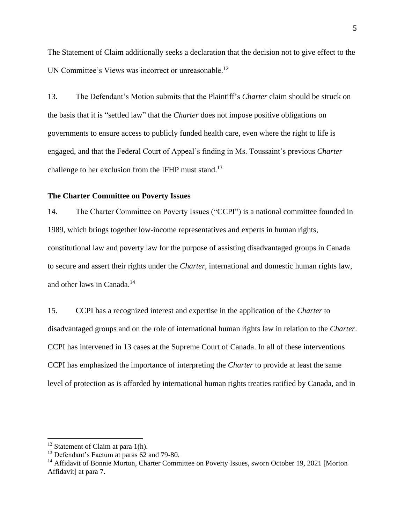The Statement of Claim additionally seeks a declaration that the decision not to give effect to the UN Committee's Views was incorrect or unreasonable.<sup>12</sup>

13. The Defendant's Motion submits that the Plaintiff's *Charter* claim should be struck on the basis that it is "settled law" that the *Charter* does not impose positive obligations on governments to ensure access to publicly funded health care, even where the right to life is engaged, and that the Federal Court of Appeal's finding in Ms. Toussaint's previous *Charter* challenge to her exclusion from the IFHP must stand.<sup>13</sup>

### <span id="page-7-0"></span>**The Charter Committee on Poverty Issues**

14. The Charter Committee on Poverty Issues ("CCPI") is a national committee founded in 1989, which brings together low-income representatives and experts in human rights, constitutional law and poverty law for the purpose of assisting disadvantaged groups in Canada to secure and assert their rights under the *Charter*, international and domestic human rights law, and other laws in Canada.<sup>14</sup>

15. CCPI has a recognized interest and expertise in the application of the *Charter* to disadvantaged groups and on the role of international human rights law in relation to the *Charter*. CCPI has intervened in 13 cases at the Supreme Court of Canada. In all of these interventions CCPI has emphasized the importance of interpreting the *Charter* to provide at least the same level of protection as is afforded by international human rights treaties ratified by Canada, and in

 $12$  Statement of Claim at para 1(h).

<sup>&</sup>lt;sup>13</sup> Defendant's Factum at paras 62 and 79-80.

<sup>&</sup>lt;sup>14</sup> Affidavit of Bonnie Morton, Charter Committee on Poverty Issues, sworn October 19, 2021 [Morton Affidavit] at para 7.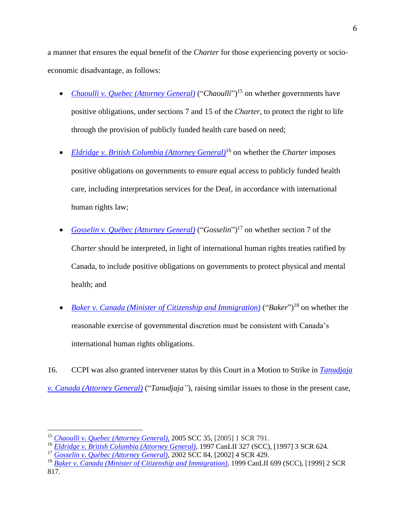a manner that ensures the equal benefit of the *Charter* for those experiencing poverty or socioeconomic disadvantage, as follows:

- *[Chaoulli v. Quebec \(Attorney General\)](https://www.canlii.org/en/ca/scc/doc/2005/2005scc35/2005scc35.html?autocompleteStr=chaoulli&autocompletePos=1)* ("*Chaoulli*")<sup>15</sup> on whether governments have positive obligations, under sections 7 and 15 of the *Charter*, to protect the right to life through the provision of publicly funded health care based on need;
- *[Eldridge v. British Columbia \(Attorney General\)](https://www.canlii.org/en/ca/scc/doc/1997/1997canlii327/1997canlii327.html?resultIndex=1)*<sup>16</sup> on whether the *Charter* imposes positive obligations on governments to ensure equal access to publicly funded health care, including interpretation services for the Deaf, in accordance with international human rights law;
- *[Gosselin v. Québec](https://www.canlii.org/en/ca/scc/doc/2002/2002scc84/2002scc84.html?resultIndex=1) (Attorney General)* ("*Gosselin*") <sup>17</sup> on whether section 7 of the *Charter* should be interpreted, in light of international human rights treaties ratified by Canada, to include positive obligations on governments to protect physical and mental health; and
- *<u>[Baker v. Canada \(Minister of Citizenship and Immigration\)](https://scc-csc.lexum.com/scc-csc/scc-csc/en/item/1717/index.do)</u> ("Baker")<sup>18</sup> on whether the* reasonable exercise of governmental discretion must be consistent with Canada's international human rights obligations.

16. CCPI was also granted intervener status by this Court in a Motion to Strike in *[Tanudjaja](https://www.canlii.org/en/on/onsc/doc/2013/2013onsc1878/2013onsc1878.html)  [v. Canada \(Attorney General\)](https://www.canlii.org/en/on/onsc/doc/2013/2013onsc1878/2013onsc1878.html)* ("*Tanudjaja"*), raising similar issues to those in the present case,

<sup>15</sup> *[Chaoulli v. Quebec \(Attorney General\),](https://www.canlii.org/en/ca/scc/doc/2005/2005scc35/2005scc35.html?autocompleteStr=chaoulli&autocompletePos=1)* 2005 SCC 35, [2005] 1 SCR 791.

<sup>16</sup> *[Eldridge v. British Columbia \(Attorney General\)](https://www.canlii.org/en/ca/scc/doc/1997/1997canlii327/1997canlii327.html?resultIndex=1)*, 1997 CanLII 327 (SCC), [1997] 3 SCR 624.

<sup>17</sup> *[Gosselin v. Québec \(Attorney General\)](https://www.canlii.org/en/ca/scc/doc/2002/2002scc84/2002scc84.html?resultIndex=1)*, 2002 SCC 84, [2002] 4 SCR 429.

<sup>18</sup> *[Baker v. Canada \(Minister of Citizenship and Immigration\)](https://www.canlii.org/en/ca/scc/doc/1999/1999canlii699/1999canlii699.html)*, 1999 CanLII 699 (SCC), [1999] 2 SCR 817.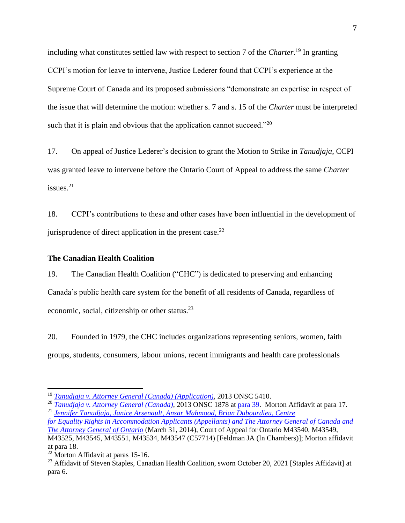including what constitutes settled law with respect to section 7 of the *Charter*. <sup>19</sup> In granting CCPI's motion for leave to intervene, Justice Lederer found that CCPI's experience at the Supreme Court of Canada and its proposed submissions "demonstrate an expertise in respect of the issue that will determine the motion: whether s. 7 and s. 15 of the *Charter* must be interpreted such that it is plain and obvious that the application cannot succeed."<sup>20</sup>

17. On appeal of Justice Lederer's decision to grant the Motion to Strike in *Tanudjaja*, CCPI was granted leave to intervene before the Ontario Court of Appeal to address the same *Charter* issues. 21

18. CCPI's contributions to these and other cases have been influential in the development of jurisprudence of direct application in the present case. $^{22}$ 

#### <span id="page-9-0"></span>**The Canadian Health Coalition**

19. The Canadian Health Coalition ("CHC") is dedicated to preserving and enhancing Canada's public health care system for the benefit of all residents of Canada, regardless of economic, social, citizenship or other status. $^{23}$ 

20. Founded in 1979, the CHC includes organizations representing seniors, women, faith groups, students, consumers, labour unions, recent immigrants and health care professionals

<sup>19</sup> *[Tanudjaja v. Attorney General \(Canada\) \(Application\)](https://www.canlii.org/en/on/onsc/doc/2013/2013onsc5410/2013onsc5410.html?autocompleteStr=TANU&autocompletePos=2)*, 2013 ONSC 5410.

<sup>20</sup> *[Tanudjaja v. Attorney](https://www.canlii.org/en/on/onsc/doc/2013/2013onsc1878/2013onsc1878.html) General (Canada)*, 2013 ONSC 1878 at [para](https://www.canlii.org/en/on/onsc/doc/2013/2013onsc1878/2013onsc1878.html#:~:text=%5B39%5D%C2%A0%C2%A0%20%C2%A0%C2%A0%20%C2%A0%C2%A0%20%C2%A0%20The%20Charter,at%20para.%2019)) 39. Morton Affidavit at para 17. <sup>21</sup> *[Jennifer Tanudjaja, Janice Arsenault, Ansar Mahmood, Brian Dubourdieu, Centre](http://socialrightscura.ca/documents/R2HOCA/Feldman%20JA%20Decision.pdf)*

*[for Equality Rights in Accommodation Applicants \(Appellants\) and The Attorney General of Canada and](http://socialrightscura.ca/documents/R2HOCA/Feldman%20JA%20Decision.pdf)  [The Attorney General of Ontario](http://socialrightscura.ca/documents/R2HOCA/Feldman%20JA%20Decision.pdf)* (March 31, 2014), Court of Appeal for Ontario M43540, M43549, M43525, M43545, M43551, M43534, M43547 (C57714) [Feldman JA (In Chambers)]; Morton affidavit at para 18.

 $22$  Morton Affidavit at paras 15-16.

<sup>&</sup>lt;sup>23</sup> Affidavit of Steven Staples, Canadian Health Coalition, sworn October 20, 2021 [Staples Affidavit] at para 6.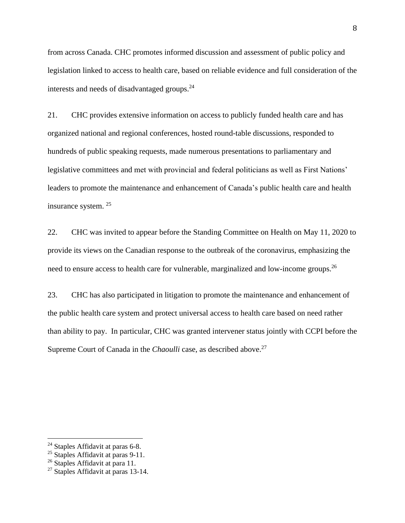from across Canada. CHC promotes informed discussion and assessment of public policy and legislation linked to access to health care, based on reliable evidence and full consideration of the interests and needs of disadvantaged groups.<sup>24</sup>

21. CHC provides extensive information on access to publicly funded health care and has organized national and regional conferences, hosted round-table discussions, responded to hundreds of public speaking requests, made numerous presentations to parliamentary and legislative committees and met with provincial and federal politicians as well as First Nations' leaders to promote the maintenance and enhancement of Canada's public health care and health insurance system. <sup>25</sup>

22. CHC was invited to appear before the Standing Committee on Health on May 11, 2020 to provide its views on the Canadian response to the outbreak of the coronavirus, emphasizing the need to ensure access to health care for vulnerable, marginalized and low-income groups.<sup>26</sup>

23. CHC has also participated in litigation to promote the maintenance and enhancement of the public health care system and protect universal access to health care based on need rather than ability to pay. In particular, CHC was granted intervener status jointly with CCPI before the Supreme Court of Canada in the *Chaoulli* case, as described above.<sup>27</sup>

<sup>&</sup>lt;sup>24</sup> Staples Affidavit at paras 6-8.

 $25$  Staples Affidavit at paras 9-11.

<sup>&</sup>lt;sup>26</sup> Staples Affidavit at para 11.

<sup>&</sup>lt;sup>27</sup> Staples Affidavit at paras 13-14.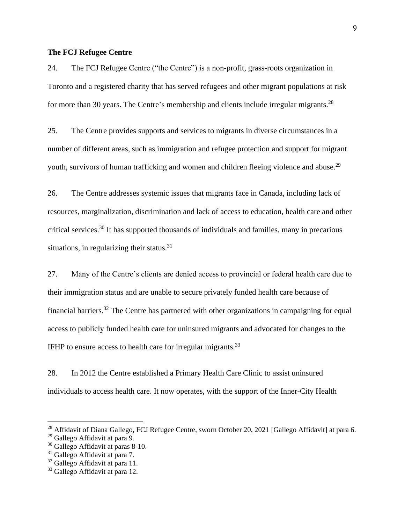#### <span id="page-11-0"></span>**The FCJ Refugee Centre**

24. The FCJ Refugee Centre ("the Centre") is a non-profit, grass-roots organization in Toronto and a registered charity that has served refugees and other migrant populations at risk for more than 30 years. The Centre's membership and clients include irregular migrants.<sup>28</sup>

25. The Centre provides supports and services to migrants in diverse circumstances in a number of different areas, such as immigration and refugee protection and support for migrant youth, survivors of human trafficking and women and children fleeing violence and abuse.<sup>29</sup>

26. The Centre addresses systemic issues that migrants face in Canada, including lack of resources, marginalization, discrimination and lack of access to education, health care and other critical services.<sup>30</sup> It has supported thousands of individuals and families, many in precarious situations, in regularizing their status.<sup>31</sup>

27. Many of the Centre's clients are denied access to provincial or federal health care due to their immigration status and are unable to secure privately funded health care because of financial barriers.<sup>32</sup> The Centre has partnered with other organizations in campaigning for equal access to publicly funded health care for uninsured migrants and advocated for changes to the IFHP to ensure access to health care for irregular migrants.<sup>33</sup>

28. In 2012 the Centre established a Primary Health Care Clinic to assist uninsured individuals to access health care. It now operates, with the support of the Inner-City Health

<sup>&</sup>lt;sup>28</sup> Affidavit of Diana Gallego, FCJ Refugee Centre, sworn October 20, 2021 [Gallego Affidavit] at para 6.

<sup>&</sup>lt;sup>29</sup> Gallego Affidavit at para 9.

<sup>30</sup> Gallego Affidavit at paras 8-10.

<sup>&</sup>lt;sup>31</sup> Gallego Affidavit at para 7.

<sup>32</sup> Gallego Affidavit at para 11.

<sup>&</sup>lt;sup>33</sup> Gallego Affidavit at para 12.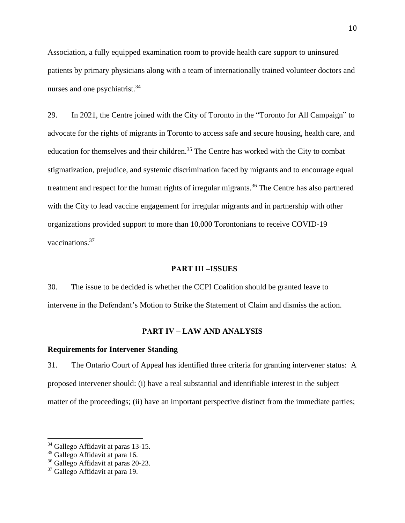Association, a fully equipped examination room to provide health care support to uninsured patients by primary physicians along with a team of internationally trained volunteer doctors and nurses and one psychiatrist.<sup>34</sup>

29. In 2021, the Centre joined with the City of Toronto in the "Toronto for All Campaign" to advocate for the rights of migrants in Toronto to access safe and secure housing, health care, and education for themselves and their children.<sup>35</sup> The Centre has worked with the City to combat stigmatization, prejudice, and systemic discrimination faced by migrants and to encourage equal treatment and respect for the human rights of irregular migrants.<sup>36</sup> The Centre has also partnered with the City to lead vaccine engagement for irregular migrants and in partnership with other organizations provided support to more than 10,000 Torontonians to receive COVID-19 vaccinations.<sup>37</sup>

#### <span id="page-12-0"></span>**PART III –ISSUES**

30. The issue to be decided is whether the CCPI Coalition should be granted leave to intervene in the Defendant's Motion to Strike the Statement of Claim and dismiss the action.

### **PART IV – LAW AND ANALYSIS**

### <span id="page-12-2"></span><span id="page-12-1"></span>**Requirements for Intervener Standing**

31. The Ontario Court of Appeal has identified three criteria for granting intervener status: A proposed intervener should: (i) have a real substantial and identifiable interest in the subject matter of the proceedings; (ii) have an important perspective distinct from the immediate parties;

<sup>&</sup>lt;sup>34</sup> Gallego Affidavit at paras 13-15.

<sup>&</sup>lt;sup>35</sup> Gallego Affidavit at para 16.

<sup>36</sup> Gallego Affidavit at paras 20-23.

<sup>&</sup>lt;sup>37</sup> Gallego Affidavit at para 19.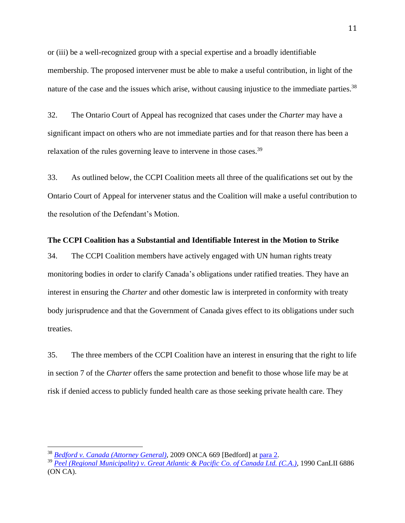or (iii) be a well-recognized group with a special expertise and a broadly identifiable membership. The proposed intervener must be able to make a useful contribution, in light of the nature of the case and the issues which arise, without causing injustice to the immediate parties.<sup>38</sup>

32. The Ontario Court of Appeal has recognized that cases under the *Charter* may have a significant impact on others who are not immediate parties and for that reason there has been a relaxation of the rules governing leave to intervene in those cases.<sup>39</sup>

33. As outlined below, the CCPI Coalition meets all three of the qualifications set out by the Ontario Court of Appeal for intervener status and the Coalition will make a useful contribution to the resolution of the Defendant's Motion.

#### <span id="page-13-0"></span>**The CCPI Coalition has a Substantial and Identifiable Interest in the Motion to Strike**

34. The CCPI Coalition members have actively engaged with UN human rights treaty monitoring bodies in order to clarify Canada's obligations under ratified treaties. They have an interest in ensuring the *Charter* and other domestic law is interpreted in conformity with treaty body jurisprudence and that the Government of Canada gives effect to its obligations under such treaties.

35. The three members of the CCPI Coalition have an interest in ensuring that the right to life in section 7 of the *Charter* offers the same protection and benefit to those whose life may be at risk if denied access to publicly funded health care as those seeking private health care. They

<sup>38</sup> *[Bedford v. Canada \(Attorney General\)](https://www.canlii.org/en/on/onca/doc/2009/2009onca669/2009onca669.html?autocompleteStr=Bedford%20v.%20Canada%20(Attorney%20General)%2C%202009%20ONCA&autocompletePos=1)*, 2009 ONCA 669 [Bedford] at [para](https://www.canlii.org/en/on/onca/doc/2009/2009onca669/2009onca669.html?autocompleteStr=Bedford%20v.%20Canada%20(Attorney%20General)%2C%202009%20ONCA&autocompletePos=1#:~:text=2%5D%20The%20relevant,the%20immediate%20parties.) 2.

<sup>39</sup> *Peel (Regional Municipality) [v. Great Atlantic & Pacific Co. of Canada Ltd. \(C.A.\)](https://www.canlii.org/en/on/onca/doc/1990/1990canlii6886/1990canlii6886.html#:~:text=In%20constitutional%20cases%2C%20including%20cases%20under%20the%20Canadian,increased%20the%20desirability%20of%20permitting%20some%20such%20interventions.)*, 1990 CanLII 6886 (ON CA).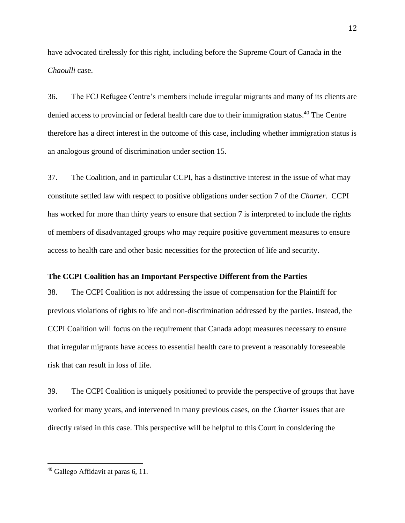have advocated tirelessly for this right, including before the Supreme Court of Canada in the *Chaoulli* case.

36. The FCJ Refugee Centre's members include irregular migrants and many of its clients are denied access to provincial or federal health care due to their immigration status. <sup>40</sup> The Centre therefore has a direct interest in the outcome of this case, including whether immigration status is an analogous ground of discrimination under section 15.

37. The Coalition, and in particular CCPI, has a distinctive interest in the issue of what may constitute settled law with respect to positive obligations under section 7 of the *Charter*. CCPI has worked for more than thirty years to ensure that section 7 is interpreted to include the rights of members of disadvantaged groups who may require positive government measures to ensure access to health care and other basic necessities for the protection of life and security.

### <span id="page-14-0"></span>**The CCPI Coalition has an Important Perspective Different from the Parties**

38. The CCPI Coalition is not addressing the issue of compensation for the Plaintiff for previous violations of rights to life and non-discrimination addressed by the parties. Instead, the CCPI Coalition will focus on the requirement that Canada adopt measures necessary to ensure that irregular migrants have access to essential health care to prevent a reasonably foreseeable risk that can result in loss of life.

39. The CCPI Coalition is uniquely positioned to provide the perspective of groups that have worked for many years, and intervened in many previous cases, on the *Charter* issues that are directly raised in this case. This perspective will be helpful to this Court in considering the

 $40$  Gallego Affidavit at paras 6, 11.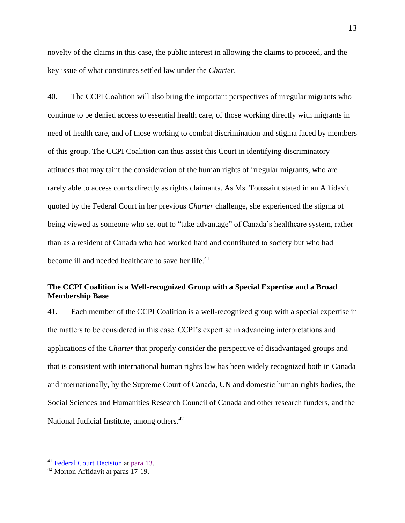novelty of the claims in this case, the public interest in allowing the claims to proceed, and the key issue of what constitutes settled law under the *Charter*.

40. The CCPI Coalition will also bring the important perspectives of irregular migrants who continue to be denied access to essential health care, of those working directly with migrants in need of health care, and of those working to combat discrimination and stigma faced by members of this group. The CCPI Coalition can thus assist this Court in identifying discriminatory attitudes that may taint the consideration of the human rights of irregular migrants, who are rarely able to access courts directly as rights claimants. As Ms. Toussaint stated in an Affidavit quoted by the Federal Court in her previous *Charter* challenge, she experienced the stigma of being viewed as someone who set out to "take advantage" of Canada's healthcare system, rather than as a resident of Canada who had worked hard and contributed to society but who had become ill and needed healthcare to save her life.<sup>41</sup>

# <span id="page-15-0"></span>**The CCPI Coalition is a Well-recognized Group with a Special Expertise and a Broad Membership Base**

41. Each member of the CCPI Coalition is a well-recognized group with a special expertise in the matters to be considered in this case. CCPI's expertise in advancing interpretations and applications of the *Charter* that properly consider the perspective of disadvantaged groups and that is consistent with international human rights law has been widely recognized both in Canada and internationally, by the Supreme Court of Canada, UN and domestic human rights bodies, the Social Sciences and Humanities Research Council of Canada and other research funders, and the National Judicial Institute, among others.<sup>42</sup>

<sup>41</sup> [Federal Court Decision](https://www.canlii.org/en/ca/fct/doc/2010/2010fc810/2010fc810.html) at [para](https://www.canlii.org/en/ca/fct/doc/2010/2010fc810/2010fc810.html#:~:text=I%20am%20aware,and%20self%2Desteem.) 13.

<sup>42</sup> Morton Affidavit at paras 17-19.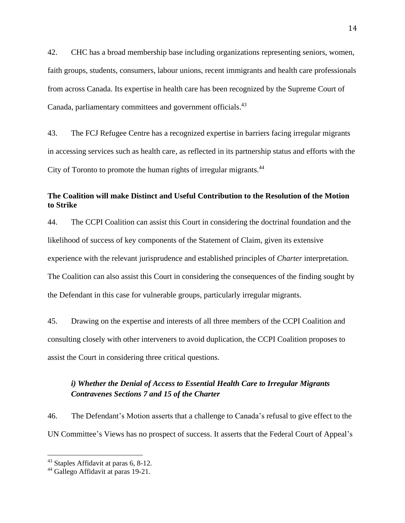42. CHC has a broad membership base including organizations representing seniors, women, faith groups, students, consumers, labour unions, recent immigrants and health care professionals from across Canada. Its expertise in health care has been recognized by the Supreme Court of Canada, parliamentary committees and government officials.<sup>43</sup>

43. The FCJ Refugee Centre has a recognized expertise in barriers facing irregular migrants in accessing services such as health care, as reflected in its partnership status and efforts with the City of Toronto to promote the human rights of irregular migrants.<sup>44</sup>

# <span id="page-16-0"></span>**The Coalition will make Distinct and Useful Contribution to the Resolution of the Motion to Strike**

44. The CCPI Coalition can assist this Court in considering the doctrinal foundation and the likelihood of success of key components of the Statement of Claim, given its extensive experience with the relevant jurisprudence and established principles of *Charter* interpretation. The Coalition can also assist this Court in considering the consequences of the finding sought by the Defendant in this case for vulnerable groups, particularly irregular migrants.

45. Drawing on the expertise and interests of all three members of the CCPI Coalition and consulting closely with other interveners to avoid duplication, the CCPI Coalition proposes to assist the Court in considering three critical questions.

# <span id="page-16-1"></span>*i) Whether the Denial of Access to Essential Health Care to Irregular Migrants Contravenes Sections 7 and 15 of the Charter*

46. The Defendant's Motion asserts that a challenge to Canada's refusal to give effect to the UN Committee's Views has no prospect of success. It asserts that the Federal Court of Appeal's

<sup>43</sup> Staples Affidavit at paras 6, 8-12.

<sup>44</sup> Gallego Affidavit at paras 19-21.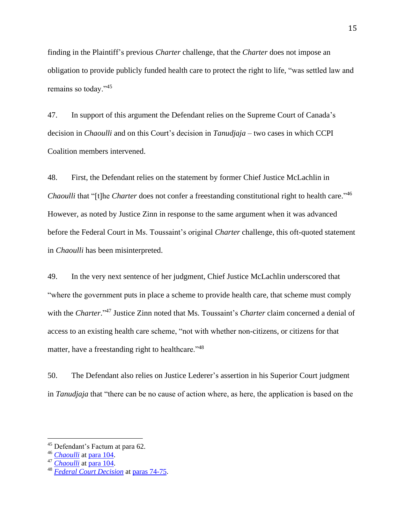finding in the Plaintiff's previous *Charter* challenge, that the *Charter* does not impose an obligation to provide publicly funded health care to protect the right to life, "was settled law and remains so today."<sup>45</sup>

47. In support of this argument the Defendant relies on the Supreme Court of Canada's decision in *Chaoulli* and on this Court's decision in *Tanudjaja* – two cases in which CCPI Coalition members intervened.

48. First, the Defendant relies on the statement by former Chief Justice McLachlin in *Chaoulli* that "[t]he *Charter* does not confer a freestanding constitutional right to health care." 46 However, as noted by Justice Zinn in response to the same argument when it was advanced before the Federal Court in Ms. Toussaint's original *Charter* challenge, this oft-quoted statement in *Chaoulli* has been misinterpreted.

49. In the very next sentence of her judgment, Chief Justice McLachlin underscored that "where the government puts in place a scheme to provide health care, that scheme must comply with the *Charter*." <sup>47</sup> Justice Zinn noted that Ms. Toussaint's *Charter* claim concerned a denial of access to an existing health care scheme, "not with whether non-citizens, or citizens for that matter, have a freestanding right to healthcare."<sup>48</sup>

50. The Defendant also relies on Justice Lederer's assertion in his Superior Court judgment in *Tanudjaja* that "there can be no cause of action where, as here, the application is based on the

<sup>45</sup> Defendant's Factum at para 62.

<sup>46</sup> *[Chaoulli](https://scc-csc.lexum.com/scc-csc/scc-csc/en/item/2237/index.do)* a[t para 104.](https://www.canlii.org/en/ca/scc/doc/2005/2005scc35/2005scc35.html?autocompleteStr=chaoulli&autocompletePos=1#:~:text=The%20Charter%20does%20not%20confer%20a%20freestanding%20constitutional%20right%20to%20health%20care)

<sup>47</sup> *[Chaoulli](https://scc-csc.lexum.com/scc-csc/scc-csc/en/item/2237/index.do)* a[t para](https://www.canlii.org/en/ca/scc/doc/2005/2005scc35/2005scc35.html?autocompleteStr=chaoulli&autocompletePos=1#:~:text=However%2C%20where%20the%20government%20puts%20in%20place%20a%20scheme%20to%20provide%20health%20care%2C%20that%20scheme%20must%20comply%20with%20the%20Charter.) 104.

<sup>48</sup> *[Federal Court Decision](https://canlii.ca/t/2c43m)* at paras [74-75.](https://www.canlii.org/en/ca/fct/doc/2010/2010fc810/2010fc810.html#:~:text=%5B74%5D%C2%A0%C2%A0%20%C2%A0%C2%A0%20%C2%A0%C2%A0%20%C2%A0%20The%20Supreme,right%20to%20healthcare.)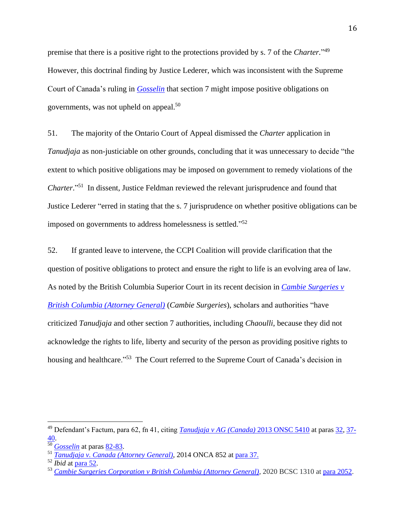premise that there is a positive right to the protections provided by s. 7 of the *Charter.*" 49 However, this doctrinal finding by Justice Lederer, which was inconsistent with the Supreme Court of Canada's ruling in *[Gosselin](https://www.canlii.org/en/ca/scc/doc/2002/2002scc84/2002scc84.html?autocompleteStr=gosselin&autocompletePos=1)* that section 7 might impose positive obligations on governments, was not upheld on appeal.<sup>50</sup>

51. The majority of the Ontario Court of Appeal dismissed the *Charter* application in *Tanudjaja* as non-justiciable on other grounds, concluding that it was unnecessary to decide "the extent to which positive obligations may be imposed on government to remedy violations of the *Charter*." <sup>51</sup> In dissent, Justice Feldman reviewed the relevant jurisprudence and found that Justice Lederer "erred in stating that the s. 7 jurisprudence on whether positive obligations can be imposed on governments to address homelessness is settled."<sup>52</sup>

52. If granted leave to intervene, the CCPI Coalition will provide clarification that the question of positive obligations to protect and ensure the right to life is an evolving area of law. As noted by the British Columbia Superior Court in its recent decision in *[Cambie Surgeries](https://www.canlii.org/en/bc/bcsc/doc/2020/2020bcsc1310/2020bcsc1310.html?searchUrlHash=AAAAAQAfQ2FtYmllIHN1cmdlcmllcyAiYnJ1Y2UgUG9ydGVyIgAAAAAB&resultIndex=3) v [British Columbia \(Attorney General\)](https://www.canlii.org/en/bc/bcsc/doc/2020/2020bcsc1310/2020bcsc1310.html?searchUrlHash=AAAAAQAfQ2FtYmllIHN1cmdlcmllcyAiYnJ1Y2UgUG9ydGVyIgAAAAAB&resultIndex=3)* (*Cambie Surgeries*), scholars and authorities "have criticized *Tanudjaja* and other section 7 authorities, including *Chaoulli*, because they did not acknowledge the rights to life, liberty and security of the person as providing positive rights to housing and healthcare."<sup>53</sup> The Court referred to the Supreme Court of Canada's decision in

<sup>49</sup> Defendant's Factum, para 62, fn 41, citing *[Tanudjaja v AG \(Canada\)](https://www.canlii.org/en/on/onsc/doc/2013/2013onsc5410/2013onsc5410.html?searchUrlHash=AAAAAQAOMjAxMyBPTlNDIDU0MTAAAAAAAQ&resultIndex=1)* 2013 ONSC 5410 at paras [32,](https://www.canlii.org/en/on/onsc/doc/2013/2013onsc5410/2013onsc5410.html?searchUrlHash=AAAAAQAOMjAxMyBPTlNDIDU0MTAAAAAAAQ&resultIndex=1#:~:text=%5B32%5D%20In%20this,to%20fundamental%20justice.) [37-](https://www.canlii.org/en/on/onsc/doc/2013/2013onsc5410/2013onsc5410.html?searchUrlHash=AAAAAQAOMjAxMyBPTlNDIDU0MTAAAAAAAQ&resultIndex=1#:~:text=37%5D%20In%20Flora,state%20to%20act.) [40.](https://www.canlii.org/en/on/onsc/doc/2013/2013onsc5410/2013onsc5410.html?searchUrlHash=AAAAAQAOMjAxMyBPTlNDIDU0MTAAAAAAAQ&resultIndex=1#:~:text=37%5D%20In%20Flora,state%20to%20act.)

<sup>50</sup> *[Gosselin](https://www.canlii.org/en/ca/scc/doc/2002/2002scc84/2002scc84.html?autocompleteStr=gosselin&autocompletePos=1)* at paras [82-83.](https://www.canlii.org/en/ca/scc/doc/2002/2002scc84/2002scc84.html?autocompleteStr=gosselin&autocompletePos=1#:~:text=%C2%A0%C2%A0%20%C2%A0%C2%A0%20%C2%A0%C2%A0%20One%20day%20s,of%20citizen%20support.)

<sup>51</sup> *[Tanudjaja v. Canada \(Attorney General\)](https://www.canlii.org/en/on/onca/doc/2014/2014onca852/2014onca852.html?autocompleteStr=Tanudjaja&autocompletePos=1)*, 2014 ONCA 852 at [para](https://www.canlii.org/en/on/onca/doc/2014/2014onca852/2014onca852.html?autocompleteStr=Tanudjaja&autocompletePos=1#:~:text=37%5D%20Given%20that,in%20some%20contexts.) 37.

<sup>52</sup> *Ibid* at [para](https://www.canlii.org/en/on/onca/doc/2014/2014onca852/2014onca852.html?autocompleteStr=2014%20ONCA%20852%20&autocompletePos=1#:~:text=%5B52%5D%20In%20my,full%20evidentiary%20record.) 52.

<sup>53</sup> *[Cambie Surgeries Corporation v British Columbia \(Attorney General\)](https://canlii.ca/t/j9kpw)*, 2020 BCSC 1310 at [para 2052.](https://www.canlii.org/en/bc/bcsc/doc/2020/2020bcsc1310/2020bcsc1310.html?searchUrlHash=AAAAAQAfQ2FtYmllIHN1cmdlcmllcyAiYnJ1Y2UgUG9ydGVyIgAAAAAB&resultIndex=3#:~:text=%5B2052%5D%C2%A0%20As%20a,be%20considered%20unsettled.)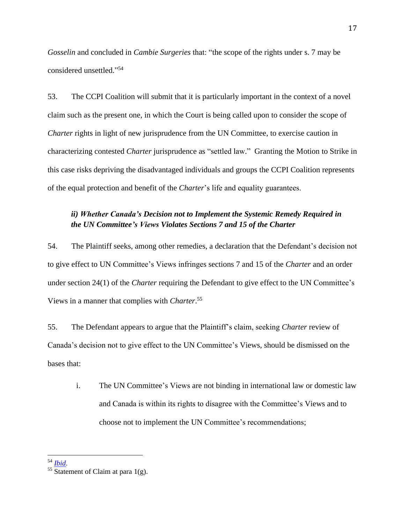*Gosselin* and concluded in *Cambie Surgeries* that: "the scope of the rights under s. 7 may be considered unsettled." 54

53. The CCPI Coalition will submit that it is particularly important in the context of a novel claim such as the present one, in which the Court is being called upon to consider the scope of *Charter* rights in light of new jurisprudence from the UN Committee, to exercise caution in characterizing contested *Charter* jurisprudence as "settled law." Granting the Motion to Strike in this case risks depriving the disadvantaged individuals and groups the CCPI Coalition represents of the equal protection and benefit of the *Charter*'s life and equality guarantees.

# <span id="page-19-0"></span>*ii) Whether Canada's Decision not to Implement the Systemic Remedy Required in the UN Committee's Views Violates Sections 7 and 15 of the Charter*

54. The Plaintiff seeks, among other remedies, a declaration that the Defendant's decision not to give effect to UN Committee's Views infringes sections 7 and 15 of the *Charter* and an order under section 24(1) of the *Charter* requiring the Defendant to give effect to the UN Committee's Views in a manner that complies with *Charter*. 55

55. The Defendant appears to argue that the Plaintiff's claim, seeking *Charter* review of Canada's decision not to give effect to the UN Committee's Views, should be dismissed on the bases that:

i. The UN Committee's Views are not binding in international law or domestic law and Canada is within its rights to disagree with the Committee's Views and to choose not to implement the UN Committee's recommendations;

<sup>54</sup> *[Ibid](https://www.canlii.org/en/bc/bcsc/doc/2020/2020bcsc1310/2020bcsc1310.html?searchUrlHash=AAAAAQAfQ2FtYmllIHN1cmdlcmllcyAiYnJ1Y2UgUG9ydGVyIgAAAAAB&resultIndex=3#:~:text=%5B2052%5D%C2%A0%20As%20a,be%20considered%20unsettled.)*.

 $55$  Statement of Claim at para 1(g).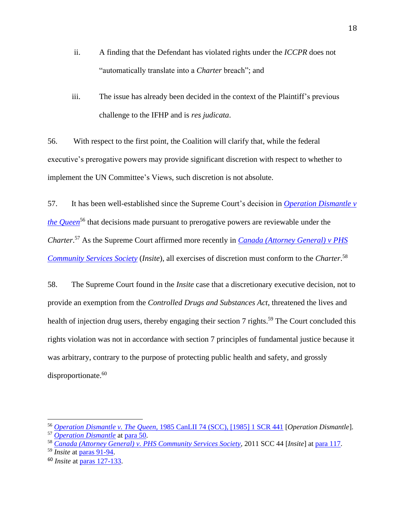- ii. A finding that the Defendant has violated rights under the *ICCPR* does not "automatically translate into a *Charter* breach"; and
- iii. The issue has already been decided in the context of the Plaintiff's previous challenge to the IFHP and is *res judicata*.

56. With respect to the first point, the Coalition will clarify that, while the federal executive's prerogative powers may provide significant discretion with respect to whether to implement the UN Committee's Views, such discretion is not absolute.

57. It has been well-established since the Supreme Court's decision in *[Operation Dismantle](https://www.canlii.org/en/ca/scc/doc/1985/1985canlii74/1985canlii74.html?searchUrlHash=AAAAAQATT3BlcmF0aW9uIGRpc21hbnRsZQAAAAAB&resultIndex=1) v [the Queen](https://www.canlii.org/en/ca/scc/doc/1985/1985canlii74/1985canlii74.html?searchUrlHash=AAAAAQATT3BlcmF0aW9uIGRpc21hbnRsZQAAAAAB&resultIndex=1)*<sup>56</sup> that decisions made pursuant to prerogative powers are reviewable under the *Charter*. <sup>57</sup> As the Supreme Court affirmed more recently in *[Canada \(Attorney General\) v PHS](https://www.canlii.org/en/ca/scc/doc/2011/2011scc44/2011scc44.html?searchUrlHash=AAAAAQAGSW5zaXRlAAAAAAE&resultIndex=8)  [Community Services Society](https://www.canlii.org/en/ca/scc/doc/2011/2011scc44/2011scc44.html?searchUrlHash=AAAAAQAGSW5zaXRlAAAAAAE&resultIndex=8)* (*Insite*), all exercises of discretion must conform to the *Charter*. 58

58. The Supreme Court found in the *Insite* case that a discretionary executive decision, not to provide an exemption from the *Controlled Drugs and Substances Act*, threatened the lives and health of injection drug users, thereby engaging their section 7 rights.<sup>59</sup> The Court concluded this rights violation was not in accordance with section 7 principles of fundamental justice because it was arbitrary, contrary to the purpose of protecting public health and safety, and grossly disproportionate.<sup>60</sup>

<sup>56</sup> *Operation Dismantle v. The Queen*[, 1985 CanLII 74 \(SCC\), \[1985\] 1 SCR 441](https://www.canlii.org/en/ca/scc/doc/1985/1985canlii74/1985canlii74.html?searchUrlHash=AAAAAQATT3BlcmF0aW9uIGRpc21hbnRsZQAAAAAB&resultIndex=1) [*Operation Dismantle*].

<sup>57</sup> *[Operation Dismantle](ttps://www.canlii.org/en/ca/scc/doc/1985/1985canlii74/1985canlii74.html?searchUrlHash=AAAAAQATT3BlcmF0aW9uIGRpc21hbnRsZQAAAAAB&resultIndex=1)* at [para](https://www.canlii.org/en/ca/scc/doc/1985/1985canlii74/1985canlii74.html?searchUrlHash=AAAAAQATT3BlcmF0aW9uIGRpc21hbnRsZQAAAAAB&resultIndex=1#:~:text=50.%C2%A0%C2%A0%20%C2%A0%C2%A0%20%C2%A0%C2%A0%20%C2%A0%C2%A0%20%C2%A0%20The%20respondents,do%20so%20also) 50.

<sup>58</sup> *[Canada \(Attorney General\) v. PHS Community Services Society](https://www.canlii.org/en/ca/scc/doc/2011/2011scc44/2011scc44.html?searchUrlHash=AAAAAQAGSW5zaXRlAAAAAAE&resultIndex=8)*, 2011 SCC 44 [*Insite*] a[t para](https://www.canlii.org/en/ca/scc/doc/2011/2011scc44/2011scc44.html?searchUrlHash=AAAAAQAGSW5zaXRlAAAAAAE&resultIndex=8#:~:text=%5B117%5D%C2%A0%C2%A0%20%C2%A0%C2%A0%20%C2%A0%C2%A0%20%C2%A0%C2%A0%20%C2%A0%C2%A0%20%C2%A0%C2%A0%20%C2%A0%C2%A0-,The%20discretion%20vested%20in%20the%20Minister%20of%20Health%20is%20not,the%20Charter%2C%20then%20the%20Minister%E2%80%99s%20discretion%20has%20been%20exercised%20unconstitutionally.,-%5B118%5D%C2%A0%C2%A0%20%C2%A0%C2%A0%20%C2%A0%C2%A0%20%C2%A0%C2%A0%20%C2%A0%C2%A0%20%C2%A0%C2%A0%20%C2%A0%C2%A0%20I%20note) 117.

<sup>59</sup> *Insite* at paras [91-94.](https://www.canlii.org/en/ca/scc/doc/2011/2011scc44/2011scc44.html?searchUrlHash=AAAAAQAGSW5zaXRlAAAAAAE&resultIndex=8#:~:text=%5B91%5D%C2%A0%C2%A0%20%C2%A0%C2%A0%20%C2%A0%C2%A0%20%C2%A0%C2%A0%20%C2%A0%C2%A0%20%C2%A0%C2%A0%20%C2%A0%C2%A0%20%C2%A0%C2%A0%20%C2%A0%20The%20record,clients%20of%20Insite.%C2%A0)

<sup>60</sup> *Insite* at [paras 127-133.](https://www.canlii.org/en/ca/scc/doc/2011/2011scc44/2011scc44.html?searchUrlHash=AAAAAQAGSW5zaXRlAAAAAAE&resultIndex=8#:~:text=%5B127%5D%C2%A0%C2%A0%20%C2%A0%C2%A0%20%C2%A0%C2%A0%20%C2%A0%C2%A0%20%C2%A0%C2%A0%20%C2%A0%C2%A0%20%C2%A0%C2%A0%20The%20next,possession%20of%20narcotics.)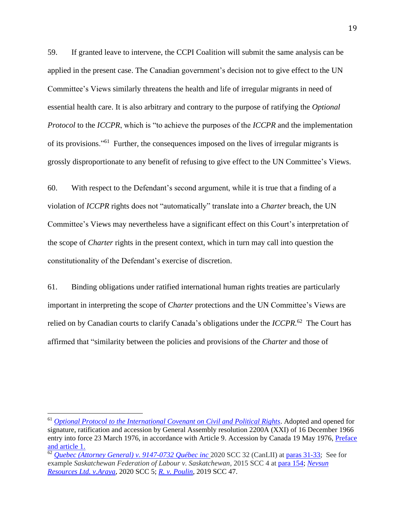59. If granted leave to intervene, the CCPI Coalition will submit the same analysis can be applied in the present case. The Canadian government's decision not to give effect to the UN Committee's Views similarly threatens the health and life of irregular migrants in need of essential health care. It is also arbitrary and contrary to the purpose of ratifying the *Optional Protocol* to the *ICCPR*, which is "to achieve the purposes of the *ICCPR* and the implementation of its provisions."<sup>61</sup> Further, the consequences imposed on the lives of irregular migrants is grossly disproportionate to any benefit of refusing to give effect to the UN Committee's Views.

60. With respect to the Defendant's second argument, while it is true that a finding of a violation of *ICCPR* rights does not "automatically" translate into a *Charter* breach, the UN Committee's Views may nevertheless have a significant effect on this Court's interpretation of the scope of *Charter* rights in the present context, which in turn may call into question the constitutionality of the Defendant's exercise of discretion.

61. Binding obligations under ratified international human rights treaties are particularly important in interpreting the scope of *Charter* protections and the UN Committee's Views are relied on by Canadian courts to clarify Canada's obligations under the *ICCPR.* <sup>62</sup> The Court has affirmed that "similarity between the policies and provisions of the *Charter* and those of

<sup>61</sup> *[Optional Protocol to the International Covenant on Civil and Political Rights](https://www.ohchr.org/en/professionalinterest/pages/opccpr1.aspx)*. Adopted and opened for signature, ratification and accession by General Assembly resolution 2200A (XXI) of 16 December 1966 entry into force 23 March 1976, in accordance with Article 9. Accession by Canada 19 May 1976, [Preface](https://www.ohchr.org/en/professionalinterest/pages/opccpr1.aspx)  [and article 1.](https://www.ohchr.org/en/professionalinterest/pages/opccpr1.aspx)

<sup>62</sup> *Quebec (Attorney General) v. [9147-0732](https://www.canlii.org/en/ca/scc/doc/2020/2020scc32/2020scc32.html?searchUrlHash=AAAAAQAnUXVlYmVjIChBdHRvcm5leSBHZW5lcmFsKSB2LiA5MTQ3LTA3MzIgAAAAAAE&resultIndex=1) Québec inc* 2020 SCC 32 (CanLII) a[t paras 31-33;](https://www.canlii.org/en/ca/scc/doc/2020/2020scc32/2020scc32.html?searchUrlHash=AAAAAQAnUXVlYmVjIChBdHRvcm5leSBHZW5lcmFsKSB2LiA5MTQ3LTA3MzIgAAAAAAE&resultIndex=1#:~:text=%C2%A0%20%C2%A0%20Continuing%2C%20Dickson%20C,at%20para.%C2%A069.) See for example *Saskatchewan Federation of Labour v. Saskatchewan*, 2015 SCC 4 at [para 154;](https://www.canlii.org/en/ca/scc/doc/2015/2015scc4/2015scc4.html?autocompleteStr=Saskatchewan%20Federation&autocompletePos=1#:~:text=%5B154%5D%C2%A0%C2%A0%20%C2%A0%C2%A0%20%C2%A0%C2%A0%20%C2%A0%C2%A0%20%C2%A0%C2%A0%20%C2%A0%C2%A0%20%C2%A0%C2%A0-,The%20International%20Covenant%20on%20Civil%20and%20Political%20Rights%2C%20999%20U,right%20to%20strike%2C%20the%20reference%20alone%20cannot%20create%20this%20right.,-%5B155%5D%C2%A0%C2%A0%20%C2%A0%C2%A0%20%C2%A0%C2%A0%20%C2%A0%C2%A0%20%C2%A0%C2%A0%20%C2%A0%C2%A0%20%C2%A0%C2%A0%20The%20International) *[Nevsun](https://www.canlii.org/en/ca/scc/doc/2020/2020scc5/2020scc5.html)  [Resources Ltd. v.Araya](https://www.canlii.org/en/ca/scc/doc/2020/2020scc5/2020scc5.html)*, 2020 SCC 5; *[R. v. Poulin](https://canlii.ca/t/j2st1)*, 2019 SCC 47.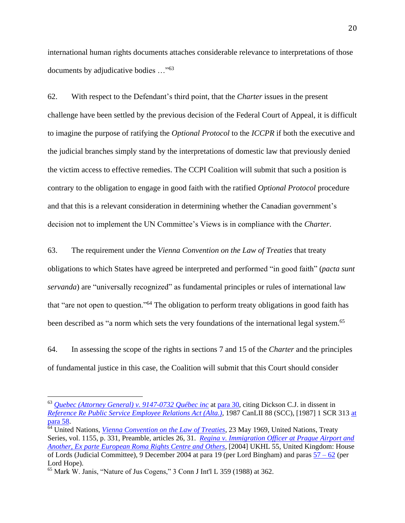international human rights documents attaches considerable relevance to interpretations of those documents by adjudicative bodies …"<sup>63</sup>

62. With respect to the Defendant's third point, that the *Charter* issues in the present challenge have been settled by the previous decision of the Federal Court of Appeal, it is difficult to imagine the purpose of ratifying the *Optional Protocol* to the *ICCPR* if both the executive and the judicial branches simply stand by the interpretations of domestic law that previously denied the victim access to effective remedies. The CCPI Coalition will submit that such a position is contrary to the obligation to engage in good faith with the ratified *Optional Protocol* procedure and that this is a relevant consideration in determining whether the Canadian government's decision not to implement the UN Committee's Views is in compliance with the *Charter*.

63. The requirement under the *Vienna Convention on the Law of Treaties* that treaty

obligations to which States have agreed be interpreted and performed "in good faith" (*pacta sunt servanda*) are "universally recognized" as fundamental principles or rules of international law that "are not open to question."<sup>64</sup> The obligation to perform treaty obligations in good faith has been described as "a norm which sets the very foundations of the international legal system.<sup>65</sup>

64. In assessing the scope of the rights in sections 7 and 15 of the *Charter* and the principles of fundamental justice in this case, the Coalition will submit that this Court should consider

<sup>63</sup> *Quebec (Attorney General) v. [9147-0732](https://www.canlii.org/en/ca/scc/doc/2020/2020scc32/2020scc32.html?searchUrlHash=AAAAAQAnUXVlYmVjIChBdHRvcm5leSBHZW5lcmFsKSB2LiA5MTQ3LTA3MzIgAAAAAAE&resultIndex=1) Québec inc* at [para](https://www.canlii.org/en/ca/scc/doc/2020/2020scc32/2020scc32.html?searchUrlHash=AAAAAQAnUXVlYmVjIChBdHRvcm5leSBHZW5lcmFsKSB2LiA5MTQ3LTA3MzIgAAAAAAE&resultIndex=1#:~:text=%5B30%5D%C2%A0%C2%A0%20%C2%A0%C2%A0%20%C2%A0%C2%A0%20%C2%A0%C2%A0%20%C2%A0%C2%A0%20%C2%A0%C2%A0%20%C2%A0%C2%A0%20%C2%A0%C2%A0%20%C2%A0%20A%20useful,pp.%20348%2D49.%5D) 30, citing Dickson C.J. in dissent in *[Reference](https://www.canlii.org/en/ca/scc/doc/1987/1987canlii88/1987canlii88.html?searchUrlHash=AAAAAQAzUmVmZXJlbmNlIFJlIFB1YmxpYyBTZXJ2aWNlIEVtcGxveWVlIFJlbGF0aW9ucyBBY3QgAAAAAAE&resultIndex=1) Re Public Service Employee Relations Act (Alta.)*, 1987 CanLII 88 (SCC), [1987] 1 SCR 313 [at](https://www.canlii.org/en/ca/scc/doc/1987/1987canlii88/1987canlii88.html?searchUrlHash=AAAAAQAzUmVmZXJlbmNlIFJlIFB1YmxpYyBTZXJ2aWNlIEVtcGxveWVlIFJlbGF0aW9ucyBBY3QgAAAAAAE&resultIndex=1#:~:text=In%20particular%2C%20the,at%20p.%20293.)  [para](https://www.canlii.org/en/ca/scc/doc/1987/1987canlii88/1987canlii88.html?searchUrlHash=AAAAAQAzUmVmZXJlbmNlIFJlIFB1YmxpYyBTZXJ2aWNlIEVtcGxveWVlIFJlbGF0aW9ucyBBY3QgAAAAAAE&resultIndex=1#:~:text=In%20particular%2C%20the,at%20p.%20293.) 58.

<sup>&</sup>lt;sup>64</sup> United Nations, *[Vienna Convention on the Law of Treaties](https://www.refworld.org/docid/3ae6b3a10.html)*, 23 May 1969, United Nations, Treaty Series, vol. 1155, p. 331, Preamble, articles 26, 31. *[Regina v. Immigration Officer at Prague Airport and](https://publications.parliament.uk/pa/ld200405/ldjudgmt/jd041209/roma-1.htm)  [Another, Ex parte European Roma Rights Centre and Others](https://publications.parliament.uk/pa/ld200405/ldjudgmt/jd041209/roma-1.htm)*, [2004] UKHL 55, United Kingdom: House of Lords (Judicial Committee), 9 December 2004 at para 19 (per Lord Bingham) and paras [57 –](https://publications.parliament.uk/pa/ld200405/ldjudgmt/jd041209/roma-4.htm#:~:text=Lord%20Lester%20made,pp%20133%2D134.) 62 (per Lord Hope).

<sup>65</sup> Mark W. Janis, "Nature of Jus Cogens," 3 Conn J Int'l L 359 (1988) at 362.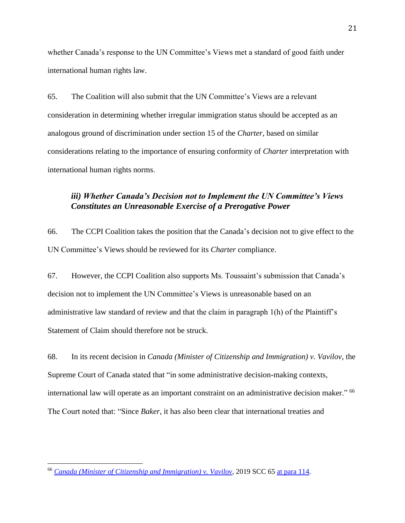whether Canada's response to the UN Committee's Views met a standard of good faith under international human rights law.

65. The Coalition will also submit that the UN Committee's Views are a relevant consideration in determining whether irregular immigration status should be accepted as an analogous ground of discrimination under section 15 of the *Charter*, based on similar considerations relating to the importance of ensuring conformity of *Charter* interpretation with international human rights norms.

# <span id="page-23-0"></span>*iii) Whether Canada's Decision not to Implement the UN Committee's Views Constitutes an Unreasonable Exercise of a Prerogative Power*

66. The CCPI Coalition takes the position that the Canada's decision not to give effect to the UN Committee's Views should be reviewed for its *Charter* compliance.

67. However, the CCPI Coalition also supports Ms. Toussaint's submission that Canada's decision not to implement the UN Committee's Views is unreasonable based on an administrative law standard of review and that the claim in paragraph 1(h) of the Plaintiff's Statement of Claim should therefore not be struck.

68. In its recent decision in *Canada (Minister of Citizenship and Immigration) v. Vavilov*, the Supreme Court of Canada stated that "in some administrative decision-making contexts, international law will operate as an important constraint on an administrative decision maker." 66 The Court noted that: "Since *Baker*, it has also been clear that international treaties and

<sup>66</sup> *[Canada \(Minister of Citizenship and Immigration\) v. Vavilov](https://www.canlii.org/en/ca/scc/doc/2019/2019scc65/2019scc65.html?autocompleteStr=vavilov&autocompletePos=1)*, 2019 SCC 65 [at para](https://www.canlii.org/en/ca/scc/doc/2019/2019scc65/2019scc65.html?autocompleteStr=vavilov&autocompletePos=1#:~:text=%C2%A0%C2%A0%20We%20would%20also,paras.%2069%2D71.) 114.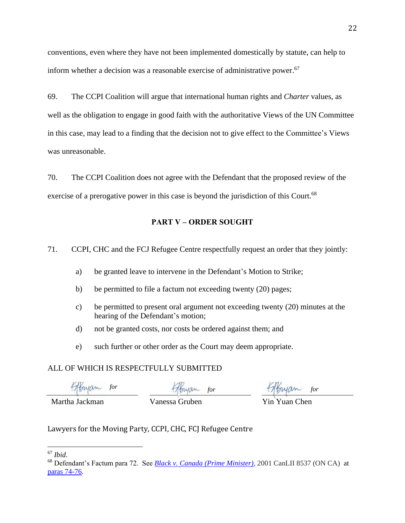conventions, even where they have not been implemented domestically by statute, can help to inform whether a decision was a reasonable exercise of administrative power. 67

69. The CCPI Coalition will argue that international human rights and *Charter* values, as well as the obligation to engage in good faith with the authoritative Views of the UN Committee in this case, may lead to a finding that the decision not to give effect to the Committee's Views was unreasonable.

70. The CCPI Coalition does not agree with the Defendant that the proposed review of the exercise of a prerogative power in this case is beyond the jurisdiction of this Court.<sup>68</sup>

## **PART V – ORDER SOUGHT**

<span id="page-24-0"></span>71. CCPI, CHC and the FCJ Refugee Centre respectfully request an order that they jointly:

- a) be granted leave to intervene in the Defendant's Motion to Strike;
- b) be permitted to file a factum not exceeding twenty (20) pages;
- c) be permitted to present oral argument not exceeding twenty (20) minutes at the hearing of the Defendant's motion;
- d) not be granted costs, nor costs be ordered against them; and
- e) such further or other order as the Court may deem appropriate.

## ALL OF WHICH IS RESPECTFULLY SUBMITTED

*for for for*

Martha Jackman Vanessa Gruben Yin Yuan Chen

Lawyers for the Moving Party, CCPI, CHC, FCJ Refugee Centre

<sup>67</sup> *Ibid*.

<sup>68</sup> Defendant's Factum para 72. See *[Black v. Canada \(Prime Minister\)](https://www.canlii.org/en/on/onca/doc/2001/2001canlii8537/2001canlii8537.html?resultIndex=1)*, 2001 CanLII 8537 (ON CA) at [paras 74-76.](https://www.canlii.org/en/on/onca/doc/2001/2001canlii8537/2001canlii8537.html?resultIndex=1#:~:text=%5B74%5D%20One%20possible,the%20cross%2Dappeal.)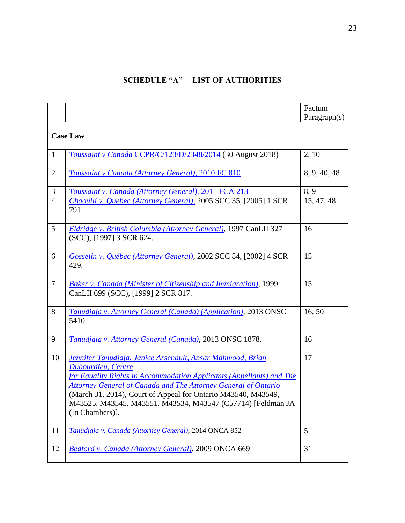# **SCHEDULE "A" – LIST OF AUTHORITIES**

<span id="page-25-0"></span>

|                 |                                                                                                                                                                                                                                                                                                                                                                                      | Factum<br>Paragraph(s) |  |
|-----------------|--------------------------------------------------------------------------------------------------------------------------------------------------------------------------------------------------------------------------------------------------------------------------------------------------------------------------------------------------------------------------------------|------------------------|--|
| <b>Case Law</b> |                                                                                                                                                                                                                                                                                                                                                                                      |                        |  |
| $\mathbf{1}$    | Toussaint v Canada CCPR/C/123/D/2348/2014 (30 August 2018)                                                                                                                                                                                                                                                                                                                           | 2, 10                  |  |
| $\overline{2}$  | Toussaint v Canada (Attorney General), 2010 FC 810                                                                                                                                                                                                                                                                                                                                   | 8, 9, 40, 48           |  |
| 3               | Toussaint v. Canada (Attorney General), 2011 FCA 213                                                                                                                                                                                                                                                                                                                                 | 8, 9                   |  |
| $\overline{4}$  | Chaoulli v. Quebec (Attorney General), 2005 SCC 35, [2005] 1 SCR<br>791.                                                                                                                                                                                                                                                                                                             | 15, 47, 48             |  |
| 5               | Eldridge v. British Columbia (Attorney General), 1997 CanLII 327<br>(SCC), [1997] 3 SCR 624.                                                                                                                                                                                                                                                                                         | 16                     |  |
| 6               | Gosselin v. Québec (Attorney General), 2002 SCC 84, [2002] 4 SCR<br>429.                                                                                                                                                                                                                                                                                                             | 15                     |  |
| $\tau$          | Baker v. Canada (Minister of Citizenship and Immigration), 1999<br>CanLII 699 (SCC), [1999] 2 SCR 817.                                                                                                                                                                                                                                                                               | 15                     |  |
| 8               | Tanudjaja v. Attorney General (Canada) (Application), 2013 ONSC<br>5410.                                                                                                                                                                                                                                                                                                             | 16,50                  |  |
| 9               | Tanudjaja v. Attorney General (Canada), 2013 ONSC 1878.                                                                                                                                                                                                                                                                                                                              | 16                     |  |
| 10              | Jennifer Tanudjaja, Janice Arsenault, Ansar Mahmood, Brian<br>Dubourdieu, Centre<br>for Equality Rights in Accommodation Applicants (Appellants) and The<br><b>Attorney General of Canada and The Attorney General of Ontario</b><br>(March 31, 2014), Court of Appeal for Ontario M43540, M43549,<br>M43525, M43545, M43551, M43534, M43547 (C57714) [Feldman JA<br>(In Chambers)]. | 17                     |  |
| 11              | Tanudjaja v. Canada (Attorney General), 2014 ONCA 852                                                                                                                                                                                                                                                                                                                                | 51                     |  |
| 12              | Bedford v. Canada (Attorney General), 2009 ONCA 669                                                                                                                                                                                                                                                                                                                                  | 31                     |  |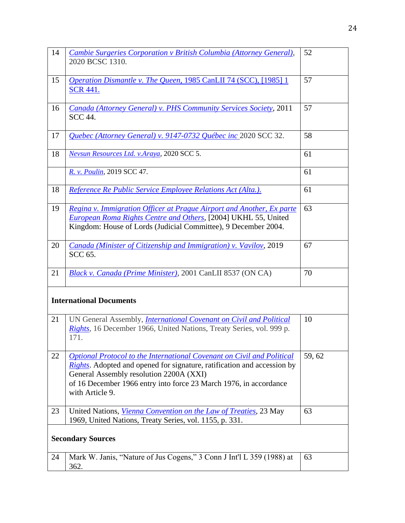| 14                             | Cambie Surgeries Corporation v British Columbia (Attorney General),<br>2020 BCSC 1310.                                                                                                                                                                                                       | 52     |  |
|--------------------------------|----------------------------------------------------------------------------------------------------------------------------------------------------------------------------------------------------------------------------------------------------------------------------------------------|--------|--|
| 15                             | <i>Operation Dismantle v. The Queen, 1985 CanLII 74 (SCC), [1985] 1</i><br><b>SCR 441.</b>                                                                                                                                                                                                   | 57     |  |
| 16                             | Canada (Attorney General) v. PHS Community Services Society, 2011<br><b>SCC 44.</b>                                                                                                                                                                                                          | 57     |  |
| 17                             | Quebec (Attorney General) v. 9147-0732 Québec inc 2020 SCC 32.                                                                                                                                                                                                                               | 58     |  |
| 18                             | Nevsun Resources Ltd. v.Araya, 2020 SCC 5.                                                                                                                                                                                                                                                   | 61     |  |
|                                | R. v. Poulin, 2019 SCC 47.                                                                                                                                                                                                                                                                   | 61     |  |
| 18                             | Reference Re Public Service Employee Relations Act (Alta.).                                                                                                                                                                                                                                  | 61     |  |
| 19                             | Regina v. Immigration Officer at Prague Airport and Another, Ex parte<br>European Roma Rights Centre and Others, [2004] UKHL 55, United<br>Kingdom: House of Lords (Judicial Committee), 9 December 2004.                                                                                    | 63     |  |
| 20                             | Canada (Minister of Citizenship and Immigration) v. Vavilov, 2019<br><b>SCC 65.</b>                                                                                                                                                                                                          | 67     |  |
| 21                             | Black v. Canada (Prime Minister), 2001 CanLII 8537 (ON CA)                                                                                                                                                                                                                                   | 70     |  |
| <b>International Documents</b> |                                                                                                                                                                                                                                                                                              |        |  |
| 21                             | UN General Assembly, <i>International Covenant on Civil and Political</i><br>Rights, 16 December 1966, United Nations, Treaty Series, vol. 999 p.<br>171.                                                                                                                                    | 10     |  |
| 22                             | Optional Protocol to the International Covenant on Civil and Political<br><i>Rights</i> . Adopted and opened for signature, ratification and accession by<br>General Assembly resolution 2200A (XXI)<br>of 16 December 1966 entry into force 23 March 1976, in accordance<br>with Article 9. | 59, 62 |  |
| 23                             | United Nations, Vienna Convention on the Law of Treaties, 23 May<br>1969, United Nations, Treaty Series, vol. 1155, p. 331.                                                                                                                                                                  | 63     |  |
| <b>Secondary Sources</b>       |                                                                                                                                                                                                                                                                                              |        |  |
| 24                             | Mark W. Janis, "Nature of Jus Cogens," 3 Conn J Int'l L 359 (1988) at<br>362.                                                                                                                                                                                                                | 63     |  |